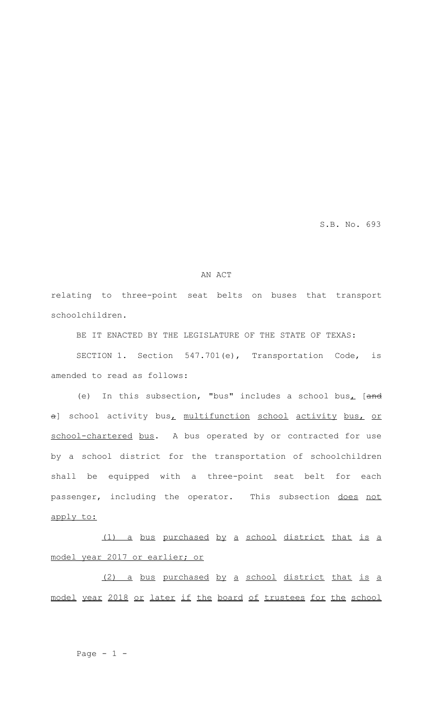S.B. No. 693

## AN ACT

relating to three-point seat belts on buses that transport schoolchildren.

BE IT ENACTED BY THE LEGISLATURE OF THE STATE OF TEXAS:

SECTION 1. Section 547.701(e), Transportation Code, is amended to read as follows:

(e) In this subsection, "bus" includes a school bus<sub> $L$ </sub> [and a] school activity bus, multifunction school activity bus, or school-chartered bus. A bus operated by or contracted for use by a school district for the transportation of schoolchildren shall be equipped with a three-point seat belt for each passenger, including the operator. This subsection does not apply to:

(1) a bus purchased by a school district that is a model year 2017 or earlier; or

(2) a bus purchased by a school district that is a model year 2018 or later if the board of trustees for the school

Page  $-1$   $-$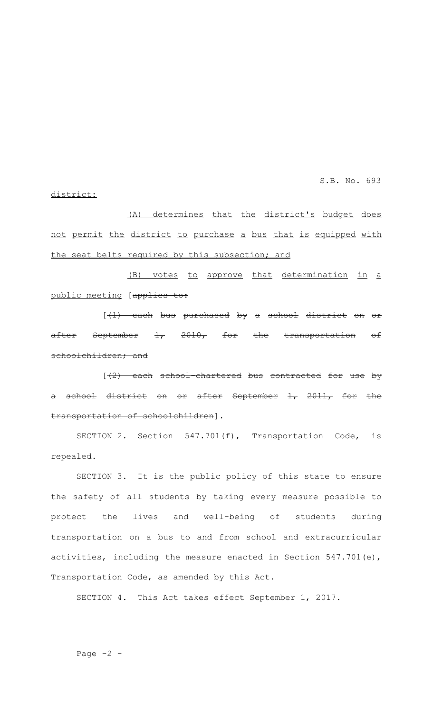S.B. No. 693

## district:

(A) determines that the district's budget does not permit the district to purchase a bus that is equipped with the seat belts required by this subsection; and

(B) votes to approve that determination in a public meeting [applies to:

[(1) each bus purchased by a school district on or after September  $1$ ,  $2010$ , for the transportation of schoolchildren; and

 $[\frac{1}{2}]$  each school chartered bus contracted for use by a school district on or after September 1, 2011, for the transportation of schoolchildren].

SECTION 2. Section 547.701(f), Transportation Code, is repealed.

SECTION 3. It is the public policy of this state to ensure the safety of all students by taking every measure possible to protect the lives and well-being of students during transportation on a bus to and from school and extracurricular activities, including the measure enacted in Section 547.701(e), Transportation Code, as amended by this Act.

SECTION 4. This Act takes effect September 1, 2017.